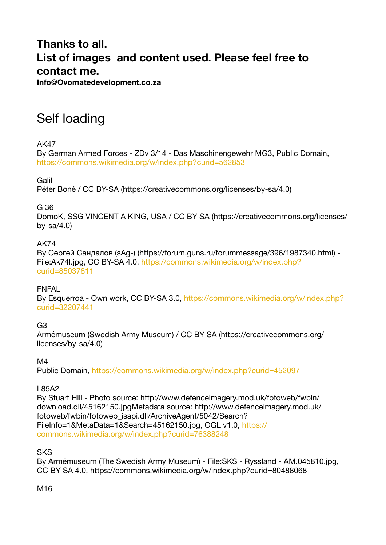### **Thanks to all. List of images and content used. Please feel free to contact me.**

**Info@Ovomatedevelopment.co.za** 

## Self loading

AK47

By German Armed Forces - ZDv 3/14 - Das Maschinengewehr MG3, Public Domain, <https://commons.wikimedia.org/w/index.php?curid=562853>

Galil

Péter Boné / CC BY-SA (https://creativecommons.org/licenses/by-sa/4.0)

G 36

DomoK, SSG VINCENT A KING, USA / CC BY-SA (https://creativecommons.org/licenses/ by-sa $/4.0$ )

#### AK74

By Сергей Сандалов (sAg-) (https://forum.guns.ru/forummessage/396/1987340.html) - File:Ak74l.jpg, CC BY-SA 4.0, [https://commons.wikimedia.org/w/index.php?](https://commons.wikimedia.org/w/index.php?curid=85037811) [curid=85037811](https://commons.wikimedia.org/w/index.php?curid=85037811)

#### FNFAL

By Esquerroa - Own work, CC BY-SA 3.0, [https://commons.wikimedia.org/w/index.php?](https://commons.wikimedia.org/w/index.php?curid=32207441) [curid=32207441](https://commons.wikimedia.org/w/index.php?curid=32207441)

G3

Armémuseum (Swedish Army Museum) / CC BY-SA (https://creativecommons.org/ licenses/by-sa/4.0)

M4

Public Domain,<https://commons.wikimedia.org/w/index.php?curid=452097>

#### L85A2

By Stuart Hill - Photo source: http://www.defenceimagery.mod.uk/fotoweb/fwbin/ download.dll/45162150.jpgMetadata source: http://www.defenceimagery.mod.uk/ fotoweb/fwbin/fotoweb\_isapi.dll/ArchiveAgent/5042/Search? FileInfo=1&MetaData=1&Search=45162150.jpg, OGL v1.0, [https://](https://commons.wikimedia.org/w/index.php?curid=76388248) [commons.wikimedia.org/w/index.php?curid=76388248](https://commons.wikimedia.org/w/index.php?curid=76388248)

**SKS** 

By Armémuseum (The Swedish Army Museum) - File:SKS - Ryssland - AM.045810.jpg, CC BY-SA 4.0, https://commons.wikimedia.org/w/index.php?curid=80488068

M16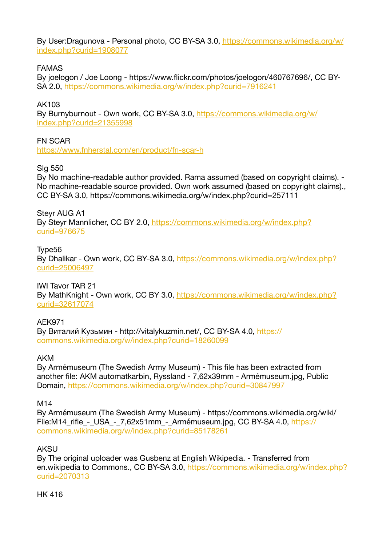By User:Dragunova - Personal photo, CC BY-SA 3.0, [https://commons.wikimedia.org/w/](https://commons.wikimedia.org/w/index.php?curid=1908077) [index.php?curid=1908077](https://commons.wikimedia.org/w/index.php?curid=1908077)

#### FAMAS

By joelogon / Joe Loong - https://www.flickr.com/photos/joelogon/460767696/, CC BY-SA 2.0,<https://commons.wikimedia.org/w/index.php?curid=7916241>

#### AK103

By Burnyburnout - Own work, CC BY-SA 3.0, [https://commons.wikimedia.org/w/](https://commons.wikimedia.org/w/index.php?curid=21355998) [index.php?curid=21355998](https://commons.wikimedia.org/w/index.php?curid=21355998)

#### FN SCAR

<https://www.fnherstal.com/en/product/fn-scar-h>

#### SIg 550

By No machine-readable author provided. Rama assumed (based on copyright claims). - No machine-readable source provided. Own work assumed (based on copyright claims)., CC BY-SA 3.0, https://commons.wikimedia.org/w/index.php?curid=257111

#### Steyr AUG A1

By Steyr Mannlicher, CC BY 2.0, [https://commons.wikimedia.org/w/index.php?](https://commons.wikimedia.org/w/index.php?curid=976675) [curid=976675](https://commons.wikimedia.org/w/index.php?curid=976675)

#### Type56

By Dhalikar - Own work, CC BY-SA 3.0, [https://commons.wikimedia.org/w/index.php?](https://commons.wikimedia.org/w/index.php?curid=25006497) [curid=25006497](https://commons.wikimedia.org/w/index.php?curid=25006497)

#### IWI Tavor TAR 21

By MathKnight - Own work, CC BY 3.0, [https://commons.wikimedia.org/w/index.php?](https://commons.wikimedia.org/w/index.php?curid=32617074) [curid=32617074](https://commons.wikimedia.org/w/index.php?curid=32617074)

#### AEK971

By Виталий Кузьмин - http://vitalykuzmin.net/, CC BY-SA 4.0, [https://](https://commons.wikimedia.org/w/index.php?curid=18260099) [commons.wikimedia.org/w/index.php?curid=18260099](https://commons.wikimedia.org/w/index.php?curid=18260099)

#### AKM

By Armémuseum (The Swedish Army Museum) - This file has been extracted from another file: AKM automatkarbin, Ryssland - 7,62x39mm - Armémuseum.jpg, Public Domain,<https://commons.wikimedia.org/w/index.php?curid=30847997>

#### M14

By Armémuseum (The Swedish Army Museum) - https://commons.wikimedia.org/wiki/ File:M14\_rifle\_-\_USA\_-\_7,62x51mm\_-\_Armémuseum.jpg, CC BY-SA 4.0, [https://](https://commons.wikimedia.org/w/index.php?curid=85178261) [commons.wikimedia.org/w/index.php?curid=85178261](https://commons.wikimedia.org/w/index.php?curid=85178261)

#### AKSU

By The original uploader was Gusbenz at English Wikipedia. - Transferred from en.wikipedia to Commons., CC BY-SA 3.0, [https://commons.wikimedia.org/w/index.php?](https://commons.wikimedia.org/w/index.php?curid=2070313) [curid=2070313](https://commons.wikimedia.org/w/index.php?curid=2070313)

#### HK 416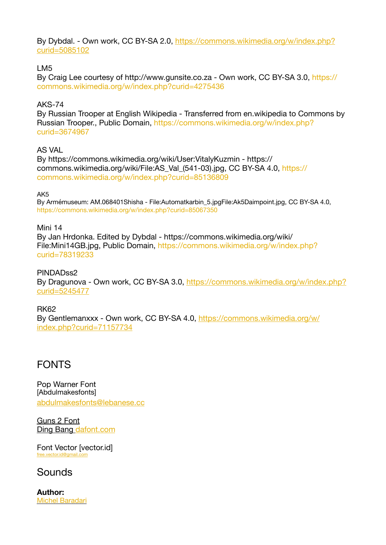By Dybdal. - Own work, CC BY-SA 2.0, [https://commons.wikimedia.org/w/index.php?](https://commons.wikimedia.org/w/index.php?curid=5085102) [curid=5085102](https://commons.wikimedia.org/w/index.php?curid=5085102)

#### LM5

By Craig Lee courtesy of http://www.gunsite.co.za - Own work, CC BY-SA 3.0, [https://](https://commons.wikimedia.org/w/index.php?curid=4275436) [commons.wikimedia.org/w/index.php?curid=4275436](https://commons.wikimedia.org/w/index.php?curid=4275436)

#### AKS-74

By Russian Trooper at English Wikipedia - Transferred from en.wikipedia to Commons by Russian Trooper., Public Domain, [https://commons.wikimedia.org/w/index.php?](https://commons.wikimedia.org/w/index.php?curid=3674967) [curid=3674967](https://commons.wikimedia.org/w/index.php?curid=3674967)

#### AS VAL

By https://commons.wikimedia.org/wiki/User:VitalyKuzmin - https:// commons.wikimedia.org/wiki/File:AS\_Val\_(541-03).jpg, CC BY-SA 4.0, [https://](https://commons.wikimedia.org/w/index.php?curid=85136809) [commons.wikimedia.org/w/index.php?curid=85136809](https://commons.wikimedia.org/w/index.php?curid=85136809)

AK5

By Armémuseum: AM.068401Shisha - File:Automatkarbin\_5.jpgFile:Ak5Daimpoint.jpg, CC BY-SA 4.0, <https://commons.wikimedia.org/w/index.php?curid=85067350>

Mini 14 By Jan Hrdonka. Edited by Dybdal - https://commons.wikimedia.org/wiki/ File:Mini14GB.jpg, Public Domain, [https://commons.wikimedia.org/w/index.php?](https://commons.wikimedia.org/w/index.php?curid=78319233) [curid=78319233](https://commons.wikimedia.org/w/index.php?curid=78319233)

#### PINDADss2

By Dragunova - Own work, CC BY-SA 3.0, [https://commons.wikimedia.org/w/index.php?](https://commons.wikimedia.org/w/index.php?curid=5245477) [curid=5245477](https://commons.wikimedia.org/w/index.php?curid=5245477)

RK62 By Gentlemanxxx - Own work, CC BY-SA 4.0, [https://commons.wikimedia.org/w/](https://commons.wikimedia.org/w/index.php?curid=71157734) [index.php?curid=71157734](https://commons.wikimedia.org/w/index.php?curid=71157734)

### FONTS

Pop Warner Font [Abdulmakesfonts] [abdulmakesfonts@lebanese.cc](mailto:abdulmakesfonts@lebanese.cc)

Guns 2 Font Ding Bang [dafont.com](http://dafont.com)

Font Vector [vector.id] [free.vector.id@gmail.com](mailto:free.vector.id@gmail.com)

### Sounds

**Author:** [Michel Baradari](http://apollo-music.de/)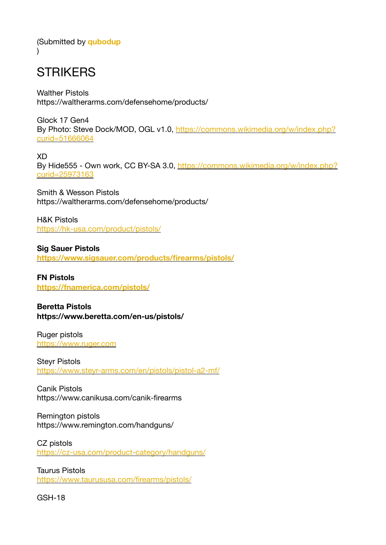(Submitted by **[qubodup](https://opengameart.org/users/qubodup)**  $\lambda$ 

### **STRIKERS**

Walther Pistols https://waltherarms.com/defensehome/products/

Glock 17 Gen4 By Photo: Steve Dock/MOD, OGL v1.0, [https://commons.wikimedia.org/w/index.php?](https://commons.wikimedia.org/w/index.php?curid=51666064) [curid=51666064](https://commons.wikimedia.org/w/index.php?curid=51666064)

XD By Hide555 - Own work, CC BY-SA 3.0, [https://commons.wikimedia.org/w/index.php?](https://commons.wikimedia.org/w/index.php?curid=25973163) [curid=25973163](https://commons.wikimedia.org/w/index.php?curid=25973163)

Smith & Wesson Pistols https://waltherarms.com/defensehome/products/

H&K Pistols <https://hk-usa.com/product/pistols/>

**Sig Sauer Pistols <https://www.sigsauer.com/products/firearms/pistols/>**

**FN Pistols <https://fnamerica.com/pistols/>**

**Beretta Pistols https://www.beretta.com/en-us/pistols/** 

Ruger pistols <https://www.ruger.com>

Steyr Pistols <https://www.steyr-arms.com/en/pistols/pistol-a2-mf/>

Canik Pistols https://www.canikusa.com/canik-firearms

Remington pistols https://www.remington.com/handguns/

CZ pistols <https://cz-usa.com/product-category/handguns/>

Taurus Pistols <https://www.taurususa.com/firearms/pistols/>

GSH-18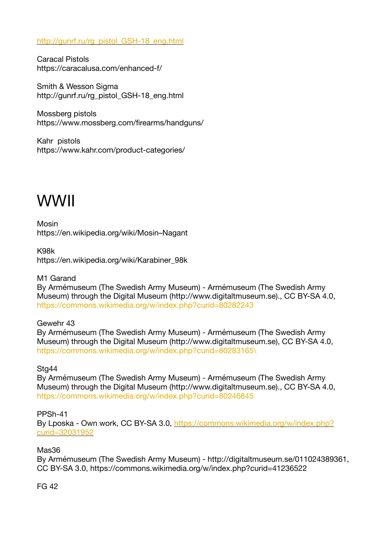[http://gunrf.ru/rg\\_pistol\\_GSH-18\\_eng.html](http://gunrf.ru/rg_pistol_GSH-18_eng.html)

Caracal Pistols https://caracalusa.com/enhanced-f/

Smith & Wesson Sigma http://gunrf.ru/rg\_pistol\_GSH-18\_eng.html

Mossberg pistols https://www.mossberg.com/firearms/handguns/

Kahr pistols https://www.kahr.com/product-categories/

# WWII

Mosin https://en.wikipedia.org/wiki/Mosin–Nagant

K98k https://en.wikipedia.org/wiki/Karabiner\_98k

M1 Garand

By Armémuseum (The Swedish Army Museum) - Armémuseum (The Swedish Army Museum) through the Digital Museum (http://www.digitaltmuseum.se)., CC BY-SA 4.0, <https://commons.wikimedia.org/w/index.php?curid=80282243>

Gewehr 43

By Armémuseum (The Swedish Army Museum) - Armémuseum (The Swedish Army Museum) through the Digital Museum (http://www.digitaltmuseum.se), CC BY-SA 4.0, [https://commons.wikimedia.org/w/index.php?curid=80283165\](https://commons.wikimedia.org/w/index.php?curid=80283165%5C)

#### Sta<sub>44</sub>

By Armémuseum (The Swedish Army Museum) - Armémuseum (The Swedish Army Museum) through the Digital Museum (http://www.digitaltmuseum.se)., CC BY-SA 4.0, <https://commons.wikimedia.org/w/index.php?curid=80246845>

#### PPSh-41

By Lposka - Own work, CC BY-SA 3.0, [https://commons.wikimedia.org/w/index.php?](https://commons.wikimedia.org/w/index.php?curid=32031952) [curid=32031952](https://commons.wikimedia.org/w/index.php?curid=32031952)

#### Mas36

By Armémuseum (The Swedish Army Museum) - http://digitaltmuseum.se/011024389361, CC BY-SA 3.0, https://commons.wikimedia.org/w/index.php?curid=41236522

FG 42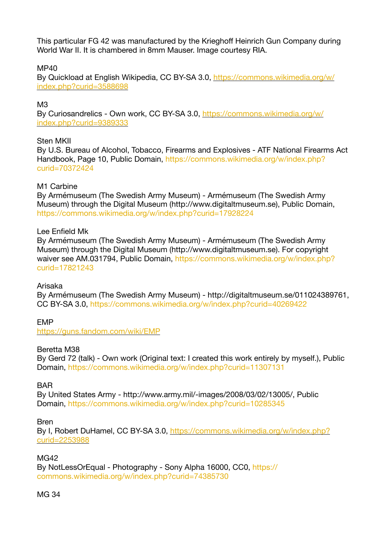This particular FG 42 was manufactured by the Krieghoff Heinrich Gun Company during World War II. It is chambered in 8mm Mauser. Image courtesy RIA.

#### MP40

By Quickload at English Wikipedia, CC BY-SA 3.0, [https://commons.wikimedia.org/w/](https://commons.wikimedia.org/w/index.php?curid=3588698) [index.php?curid=3588698](https://commons.wikimedia.org/w/index.php?curid=3588698)

#### M3

By Curiosandrelics - Own work, CC BY-SA 3.0, [https://commons.wikimedia.org/w/](https://commons.wikimedia.org/w/index.php?curid=9389333) [index.php?curid=9389333](https://commons.wikimedia.org/w/index.php?curid=9389333)

#### Sten MKII

By U.S. Bureau of Alcohol, Tobacco, Firearms and Explosives - ATF National Firearms Act Handbook, Page 10, Public Domain, [https://commons.wikimedia.org/w/index.php?](https://commons.wikimedia.org/w/index.php?curid=70372424) [curid=70372424](https://commons.wikimedia.org/w/index.php?curid=70372424)

#### M1 Carbine

By Armémuseum (The Swedish Army Museum) - Armémuseum (The Swedish Army Museum) through the Digital Museum (http://www.digitaltmuseum.se), Public Domain, <https://commons.wikimedia.org/w/index.php?curid=17928224>

#### Lee Enfield Mk

By Armémuseum (The Swedish Army Museum) - Armémuseum (The Swedish Army Museum) through the Digital Museum (http://www.digitaltmuseum.se). For copyright waiver see AM.031794, Public Domain, [https://commons.wikimedia.org/w/index.php?](https://commons.wikimedia.org/w/index.php?curid=17821243) [curid=17821243](https://commons.wikimedia.org/w/index.php?curid=17821243)

#### Arisaka

By Armémuseum (The Swedish Army Museum) - http://digitaltmuseum.se/011024389761, CC BY-SA 3.0,<https://commons.wikimedia.org/w/index.php?curid=40269422>

#### EMP

<https://guns.fandom.com/wiki/EMP>

#### Beretta M38

By Gerd 72 (talk) - Own work (Original text: I created this work entirely by myself.), Public Domain,<https://commons.wikimedia.org/w/index.php?curid=11307131>

#### **BAR**

By United States Army - http://www.army.mil/-images/2008/03/02/13005/, Public Domain,<https://commons.wikimedia.org/w/index.php?curid=10285345>

#### Bren

By I, Robert DuHamel, CC BY-SA 3.0, [https://commons.wikimedia.org/w/index.php?](https://commons.wikimedia.org/w/index.php?curid=2253988) [curid=2253988](https://commons.wikimedia.org/w/index.php?curid=2253988)

#### MG42

By NotLessOrEqual - Photography - Sony Alpha 16000, CC0, [https://](https://commons.wikimedia.org/w/index.php?curid=74385730) [commons.wikimedia.org/w/index.php?curid=74385730](https://commons.wikimedia.org/w/index.php?curid=74385730)

#### MG 34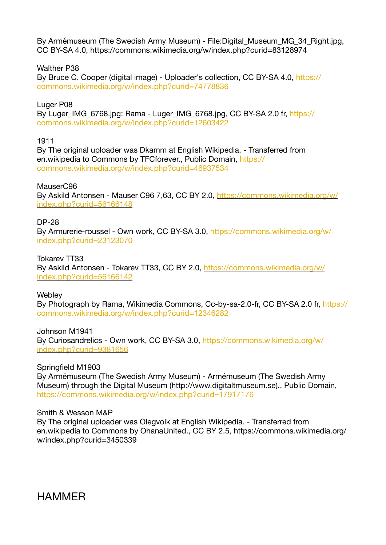By Armémuseum (The Swedish Army Museum) - File:Digital\_Museum\_MG\_34\_Right.jpg, CC BY-SA 4.0, https://commons.wikimedia.org/w/index.php?curid=83128974

Walther P38

By Bruce C. Cooper (digital image) - Uploader's collection, CC BY-SA 4.0, [https://](https://commons.wikimedia.org/w/index.php?curid=74778836) [commons.wikimedia.org/w/index.php?curid=74778836](https://commons.wikimedia.org/w/index.php?curid=74778836)

Luger P08

By Luger\_IMG\_6768.jpg: Rama - Luger\_IMG\_6768.jpg, CC BY-SA 2.0 fr, [https://](https://commons.wikimedia.org/w/index.php?curid=12603422) [commons.wikimedia.org/w/index.php?curid=12603422](https://commons.wikimedia.org/w/index.php?curid=12603422)

1911

By The original uploader was Dkamm at English Wikipedia. - Transferred from en.wikipedia to Commons by TFCforever., Public Domain, [https://](https://commons.wikimedia.org/w/index.php?curid=46937534) [commons.wikimedia.org/w/index.php?curid=46937534](https://commons.wikimedia.org/w/index.php?curid=46937534)

MauserC96

By Askild Antonsen - Mauser C96 7,63, CC BY 2.0, [https://commons.wikimedia.org/w/](https://commons.wikimedia.org/w/index.php?curid=56166148) [index.php?curid=56166148](https://commons.wikimedia.org/w/index.php?curid=56166148)

DP-28

By Armurerie-roussel - Own work, CC BY-SA 3.0, [https://commons.wikimedia.org/w/](https://commons.wikimedia.org/w/index.php?curid=23123070) [index.php?curid=23123070](https://commons.wikimedia.org/w/index.php?curid=23123070)

Tokarev TT33 By Askild Antonsen - Tokarev TT33, CC BY 2.0, [https://commons.wikimedia.org/w/](https://commons.wikimedia.org/w/index.php?curid=56166142) [index.php?curid=56166142](https://commons.wikimedia.org/w/index.php?curid=56166142)

**Webley** 

By Photograph by Rama, Wikimedia Commons, Cc-by-sa-2.0-fr, CC BY-SA 2.0 fr, [https://](https://commons.wikimedia.org/w/index.php?curid=12346282) [commons.wikimedia.org/w/index.php?curid=12346282](https://commons.wikimedia.org/w/index.php?curid=12346282)

Johnson M1941 By Curiosandrelics - Own work, CC BY-SA 3.0, [https://commons.wikimedia.org/w/](https://commons.wikimedia.org/w/index.php?curid=9381656) [index.php?curid=9381656](https://commons.wikimedia.org/w/index.php?curid=9381656)

Springfield M1903

By Armémuseum (The Swedish Army Museum) - Armémuseum (The Swedish Army Museum) through the Digital Museum (http://www.digitaltmuseum.se)., Public Domain, <https://commons.wikimedia.org/w/index.php?curid=17917176>

Smith & Wesson M&P By The original uploader was Olegvolk at English Wikipedia. - Transferred from en.wikipedia to Commons by OhanaUnited., CC BY 2.5, https://commons.wikimedia.org/ w/index.php?curid=3450339

**HAMMER**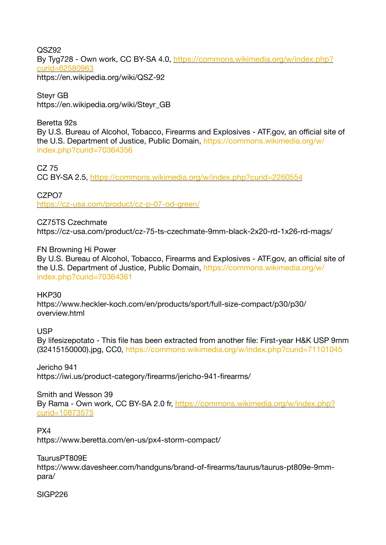QSZ92 By Tyg728 - Own work, CC BY-SA 4.0, [https://commons.wikimedia.org/w/index.php?](https://commons.wikimedia.org/w/index.php?curid=62580963) [curid=62580963](https://commons.wikimedia.org/w/index.php?curid=62580963) https://en.wikipedia.org/wiki/QSZ-92

Steyr GB https://en.wikipedia.org/wiki/Steyr\_GB

#### Beretta 92s

By U.S. Bureau of Alcohol, Tobacco, Firearms and Explosives - ATF.gov, an official site of the U.S. Department of Justice, Public Domain, [https://commons.wikimedia.org/w/](https://commons.wikimedia.org/w/index.php?curid=70364356) [index.php?curid=70364356](https://commons.wikimedia.org/w/index.php?curid=70364356)

CZ 75

CC BY-SA 2.5,<https://commons.wikimedia.org/w/index.php?curid=2260554>

CZPO7 <https://cz-usa.com/product/cz-p-07-od-green/>

CZ75TS Czechmate https://cz-usa.com/product/cz-75-ts-czechmate-9mm-black-2x20-rd-1x26-rd-mags/

#### FN Browning Hi Power

By U.S. Bureau of Alcohol, Tobacco, Firearms and Explosives - ATF.gov, an official site of the U.S. Department of Justice, Public Domain, [https://commons.wikimedia.org/w/](https://commons.wikimedia.org/w/index.php?curid=70364361) [index.php?curid=70364361](https://commons.wikimedia.org/w/index.php?curid=70364361)

HKP30

https://www.heckler-koch.com/en/products/sport/full-size-compact/p30/p30/ overview.html

USP

By lifesizepotato - This file has been extracted from another file: First-year H&K USP 9mm (32415150000).jpg, CC0, <https://commons.wikimedia.org/w/index.php?curid=71101045>

Jericho 941 https://iwi.us/product-category/firearms/jericho-941-firearms/

Smith and Wesson 39 By Rama - Own work, CC BY-SA 2.0 fr, [https://commons.wikimedia.org/w/index.php?](https://commons.wikimedia.org/w/index.php?curid=10873575) [curid=10873575](https://commons.wikimedia.org/w/index.php?curid=10873575)

PX4 https://www.beretta.com/en-us/px4-storm-compact/

TaurusPT809E https://www.davesheer.com/handguns/brand-of-firearms/taurus/taurus-pt809e-9mmpara/

SIGP226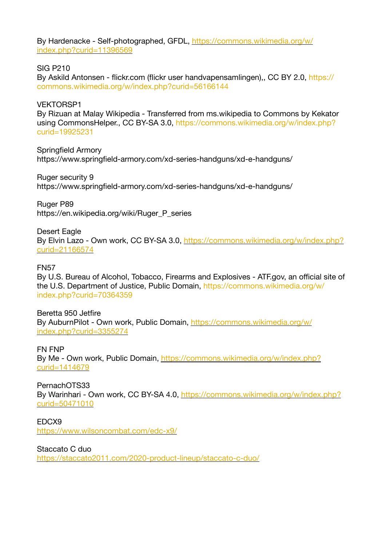By Hardenacke - Self-photographed, GFDL, [https://commons.wikimedia.org/w/](https://commons.wikimedia.org/w/index.php?curid=11396569) [index.php?curid=11396569](https://commons.wikimedia.org/w/index.php?curid=11396569)

SIG P210

By Askild Antonsen - flickr.com (flickr user handvapensamlingen)., CC BY 2.0, [https://](https://commons.wikimedia.org/w/index.php?curid=56166144) [commons.wikimedia.org/w/index.php?curid=56166144](https://commons.wikimedia.org/w/index.php?curid=56166144)

VEKTORSP1 By Rizuan at Malay Wikipedia - Transferred from ms.wikipedia to Commons by Kekator using CommonsHelper., CC BY-SA 3.0, [https://commons.wikimedia.org/w/index.php?](https://commons.wikimedia.org/w/index.php?curid=19925231) [curid=19925231](https://commons.wikimedia.org/w/index.php?curid=19925231)

Springfield Armory https://www.springfield-armory.com/xd-series-handguns/xd-e-handguns/

Ruger security 9 https://www.springfield-armory.com/xd-series-handguns/xd-e-handguns/

Ruger P89 https://en.wikipedia.org/wiki/Ruger\_P\_series

Desert Eagle By Elvin Lazo - Own work, CC BY-SA 3.0, [https://commons.wikimedia.org/w/index.php?](https://commons.wikimedia.org/w/index.php?curid=21166574) [curid=21166574](https://commons.wikimedia.org/w/index.php?curid=21166574)

FN57

By U.S. Bureau of Alcohol, Tobacco, Firearms and Explosives - ATF.gov, an official site of the U.S. Department of Justice, Public Domain, [https://commons.wikimedia.org/w/](https://commons.wikimedia.org/w/index.php?curid=70364359) [index.php?curid=70364359](https://commons.wikimedia.org/w/index.php?curid=70364359)

Beretta 950 Jetfire By AuburnPilot - Own work, Public Domain, [https://commons.wikimedia.org/w/](https://commons.wikimedia.org/w/index.php?curid=3355274) [index.php?curid=3355274](https://commons.wikimedia.org/w/index.php?curid=3355274)

FN FNP By Me - Own work, Public Domain, [https://commons.wikimedia.org/w/index.php?](https://commons.wikimedia.org/w/index.php?curid=1414679) [curid=1414679](https://commons.wikimedia.org/w/index.php?curid=1414679)

PernachOTS33 By Warinhari - Own work, CC BY-SA 4.0, [https://commons.wikimedia.org/w/index.php?](https://commons.wikimedia.org/w/index.php?curid=50471010) [curid=50471010](https://commons.wikimedia.org/w/index.php?curid=50471010)

EDCX9 <https://www.wilsoncombat.com/edc-x9/>

Staccato C duo <https://staccato2011.com/2020-product-lineup/staccato-c-duo/>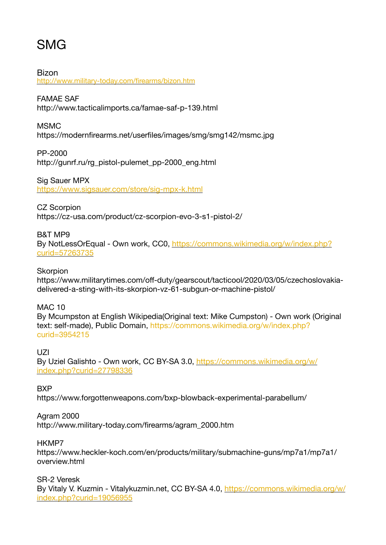## SMG

Bizon <http://www.military-today.com/firearms/bizon.htm>

#### FAMAE SAF

http://www.tacticalimports.ca/famae-saf-p-139.html

#### MSMC

https://modernfirearms.net/userfiles/images/smg/smg142/msmc.jpg

PP-2000 http://gunrf.ru/rg\_pistol-pulemet\_pp-2000\_eng.html

Sig Sauer MPX <https://www.sigsauer.com/store/sig-mpx-k.html>

CZ Scorpion https://cz-usa.com/product/cz-scorpion-evo-3-s1-pistol-2/

#### B&T MP9 By NotLessOrEqual - Own work, CC0, [https://commons.wikimedia.org/w/index.php?](https://commons.wikimedia.org/w/index.php?curid=57263735) [curid=57263735](https://commons.wikimedia.org/w/index.php?curid=57263735)

**Skorpion** 

https://www.militarytimes.com/off-duty/gearscout/tacticool/2020/03/05/czechoslovakiadelivered-a-sting-with-its-skorpion-vz-61-subgun-or-machine-pistol/

MAC 10

By Mcumpston at English Wikipedia(Original text: Mike Cumpston) - Own work (Original text: self-made), Public Domain, [https://commons.wikimedia.org/w/index.php?](https://commons.wikimedia.org/w/index.php?curid=3954215) [curid=3954215](https://commons.wikimedia.org/w/index.php?curid=3954215)

UZI By Uziel Galishto - Own work, CC BY-SA 3.0, [https://commons.wikimedia.org/w/](https://commons.wikimedia.org/w/index.php?curid=27798336) [index.php?curid=27798336](https://commons.wikimedia.org/w/index.php?curid=27798336)

#### **BXP**

https://www.forgottenweapons.com/bxp-blowback-experimental-parabellum/

#### Agram 2000

http://www.military-today.com/firearms/agram\_2000.htm

#### HKMP7

https://www.heckler-koch.com/en/products/military/submachine-guns/mp7a1/mp7a1/ overview.html

SR-2 Veresk

By Vitaly V. Kuzmin - Vitalykuzmin.net, CC BY-SA 4.0, [https://commons.wikimedia.org/w/](https://commons.wikimedia.org/w/index.php?curid=19056955) [index.php?curid=19056955](https://commons.wikimedia.org/w/index.php?curid=19056955)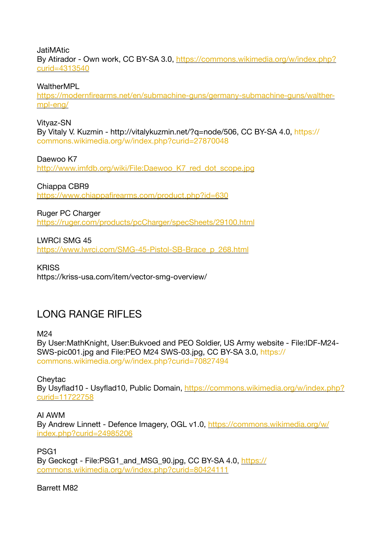**JatiMAtic** By Atirador - Own work, CC BY-SA 3.0, [https://commons.wikimedia.org/w/index.php?](https://commons.wikimedia.org/w/index.php?curid=4313540) [curid=4313540](https://commons.wikimedia.org/w/index.php?curid=4313540)

**WaltherMPI** 

[https://modernfirearms.net/en/submachine-guns/germany-submachine-guns/walther](https://modernfirearms.net/en/submachine-guns/germany-submachine-guns/walther-mpl-eng/)[mpl-eng/](https://modernfirearms.net/en/submachine-guns/germany-submachine-guns/walther-mpl-eng/)

Vityaz-SN By Vitaly V. Kuzmin - http://vitalykuzmin.net/?q=node/506, CC BY-SA 4.0, [https://](https://commons.wikimedia.org/w/index.php?curid=27870048) [commons.wikimedia.org/w/index.php?curid=27870048](https://commons.wikimedia.org/w/index.php?curid=27870048)

Daewoo K7 [http://www.imfdb.org/wiki/File:Daewoo\\_K7\\_red\\_dot\\_scope.jpg](http://www.imfdb.org/wiki/File:Daewoo_K7_red_dot_scope.jpg)

Chiappa CBR9 <https://www.chiappafirearms.com/product.php?id=630>

Ruger PC Charger

<https://ruger.com/products/pcCharger/specSheets/29100.html>

LWRCI SMG 45

[https://www.lwrci.com/SMG-45-Pistol-SB-Brace\\_p\\_268.html](https://www.lwrci.com/SMG-45-Pistol-SB-Brace_p_268.html)

**KRISS** https://kriss-usa.com/item/vector-smg-overview/

### LONG RANGE RIFLES

M24

By User:MathKnight, User:Bukvoed and PEO Soldier, US Army website - File:IDF-M24- SWS-pic001.jpg and File:PEO M24 SWS-03.jpg, CC BY-SA 3.0, [https://](https://commons.wikimedia.org/w/index.php?curid=70827494) [commons.wikimedia.org/w/index.php?curid=70827494](https://commons.wikimedia.org/w/index.php?curid=70827494)

**Chevtac** By Usyflad10 - Usyflad10, Public Domain, [https://commons.wikimedia.org/w/index.php?](https://commons.wikimedia.org/w/index.php?curid=11722758) [curid=11722758](https://commons.wikimedia.org/w/index.php?curid=11722758)

AI AWM By Andrew Linnett - Defence Imagery, OGL v1.0, [https://commons.wikimedia.org/w/](https://commons.wikimedia.org/w/index.php?curid=24985206) [index.php?curid=24985206](https://commons.wikimedia.org/w/index.php?curid=24985206)

PSG1 By Geckcgt - File:PSG1 and MSG 90.jpg, CC BY-SA 4.0, [https://](https://commons.wikimedia.org/w/index.php?curid=80424111) [commons.wikimedia.org/w/index.php?curid=80424111](https://commons.wikimedia.org/w/index.php?curid=80424111)

Barrett M82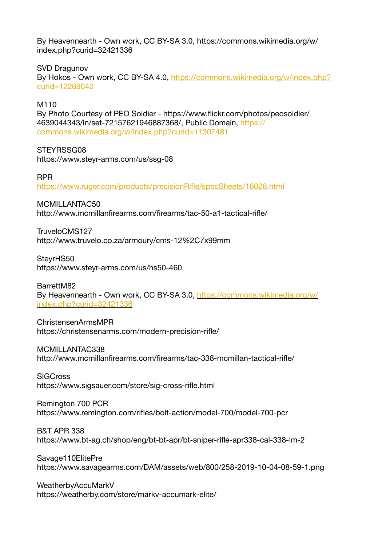By Heavennearth - Own work, CC BY-SA 3.0, https://commons.wikimedia.org/w/ index.php?curid=32421336

SVD Dragunov By Hokos - Own work, CC BY-SA 4.0, [https://commons.wikimedia.org/w/index.php?](https://commons.wikimedia.org/w/index.php?curid=12269042) [curid=12269042](https://commons.wikimedia.org/w/index.php?curid=12269042)

M<sub>110</sub>

By Photo Courtesy of PEO Soldier - https://www.flickr.com/photos/peosoldier/ 4639044343/in/set-72157621946887368/, Public Domain, [https://](https://commons.wikimedia.org/w/index.php?curid=11307481) [commons.wikimedia.org/w/index.php?curid=11307481](https://commons.wikimedia.org/w/index.php?curid=11307481)

STEYRSSG08

https://www.steyr-arms.com/us/ssg-08

RPR

<https://www.ruger.com/products/precisionRifle/specSheets/18028.html>

MCMILLANTAC50

http://www.mcmillanfirearms.com/firearms/tac-50-a1-tactical-rifle/

TruveloCMS127 http://www.truvelo.co.za/armoury/cms-12%2C7x99mm

SteyrHS50 https://www.steyr-arms.com/us/hs50-460

BarrettM82 By Heavennearth - Own work, CC BY-SA 3.0, [https://commons.wikimedia.org/w/](https://commons.wikimedia.org/w/index.php?curid=32421336) [index.php?curid=32421336](https://commons.wikimedia.org/w/index.php?curid=32421336)

ChristensenArmsMPR https://christensenarms.com/modern-precision-rifle/

MCMILLANTAC338 http://www.mcmillanfirearms.com/firearms/tac-338-mcmillan-tactical-rifle/

**SIGCross** https://www.sigsauer.com/store/sig-cross-rifle.html

Remington 700 PCR https://www.remington.com/rifles/bolt-action/model-700/model-700-pcr

B&T APR 338 https://www.bt-ag.ch/shop/eng/bt-bt-apr/bt-sniper-rifle-apr338-cal-338-lm-2

Savage110ElitePre https://www.savagearms.com/DAM/assets/web/800/258-2019-10-04-08-59-1.png

WeatherbyAccuMarkV https://weatherby.com/store/markv-accumark-elite/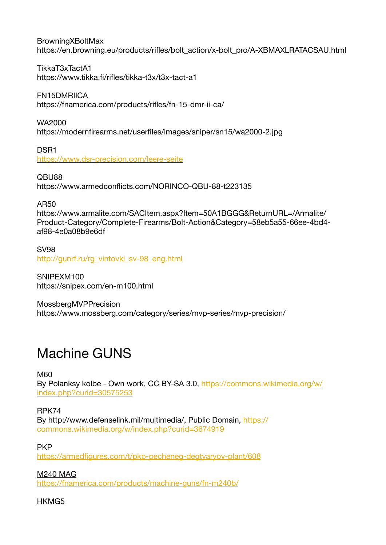BrowningXBoltMax https://en.browning.eu/products/rifles/bolt\_action/x-bolt\_pro/A-XBMAXLRATACSAU.html

TikkaT3xTactA1 https://www.tikka.fi/rifles/tikka-t3x/t3x-tact-a1

FN15DMRIICA https://fnamerica.com/products/rifles/fn-15-dmr-ii-ca/

WA2000 https://modernfirearms.net/userfiles/images/sniper/sn15/wa2000-2.jpg

DSR1 <https://www.dsr-precision.com/leere-seite>

QBU88 https://www.armedconflicts.com/NORINCO-QBU-88-t223135

AR50

https://www.armalite.com/SACItem.aspx?Item=50A1BGGG&ReturnURL=/Armalite/ Product-Category/Complete-Firearms/Bolt-Action&Category=58eb5a55-66ee-4bd4 af98-4e0a08b9e6df

SV98 [http://gunrf.ru/rg\\_vintovki\\_sv-98\\_eng.html](http://gunrf.ru/rg_vintovki_sv-98_eng.html)

SNIPEXM100 https://snipex.com/en-m100.html

MossbergMVPPrecision https://www.mossberg.com/category/series/mvp-series/mvp-precision/

# Machine GUNS

M60

By Polanksy kolbe - Own work, CC BY-SA 3.0, [https://commons.wikimedia.org/w/](https://commons.wikimedia.org/w/index.php?curid=30575253) [index.php?curid=30575253](https://commons.wikimedia.org/w/index.php?curid=30575253)

RPK74

By http://www.defenselink.mil/multimedia/, Public Domain, [https://](https://commons.wikimedia.org/w/index.php?curid=3674919) [commons.wikimedia.org/w/index.php?curid=3674919](https://commons.wikimedia.org/w/index.php?curid=3674919)

**PKP** 

<https://armedfigures.com/t/pkp-pecheneg-degtyaryov-plant/608>

M240 MAG <https://fnamerica.com/products/machine-guns/fn-m240b/>

HKMG5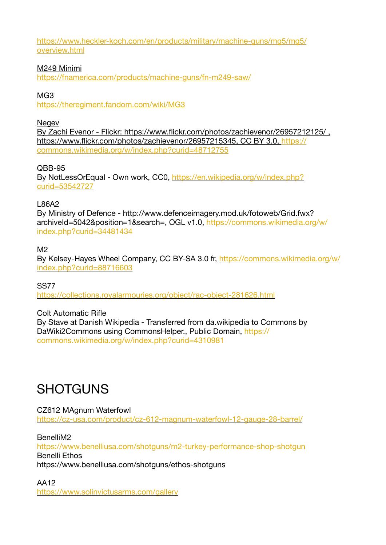[https://www.heckler-koch.com/en/products/military/machine-guns/mg5/mg5/](https://www.heckler-koch.com/en/products/military/machine-guns/mg5/mg5/overview.html) [overview.html](https://www.heckler-koch.com/en/products/military/machine-guns/mg5/mg5/overview.html)

#### M249 Minimi

<https://fnamerica.com/products/machine-guns/fn-m249-saw/>

#### MG3

<https://theregiment.fandom.com/wiki/MG3>

**Negev** 

By Zachi Evenor - Flickr: https://www.flickr.com/photos/zachievenor/26957212125/ , https://www.flickr.com/photos/zachievenor/26957215345, CC BY 3.0, [https://](https://commons.wikimedia.org/w/index.php?curid=48712755) [commons.wikimedia.org/w/index.php?curid=48712755](https://commons.wikimedia.org/w/index.php?curid=48712755)

QBB-95 By NotLessOrEqual - Own work, CC0, [https://en.wikipedia.org/w/index.php?](https://en.wikipedia.org/w/index.php?curid=53542727) [curid=53542727](https://en.wikipedia.org/w/index.php?curid=53542727)

#### L86A2

By Ministry of Defence - http://www.defenceimagery.mod.uk/fotoweb/Grid.fwx? archiveId=5042&position=1&search=, OGL v1.0, [https://commons.wikimedia.org/w/](https://commons.wikimedia.org/w/index.php?curid=34481434) [index.php?curid=34481434](https://commons.wikimedia.org/w/index.php?curid=34481434)

#### $M<sub>2</sub>$

By Kelsey-Hayes Wheel Company, CC BY-SA 3.0 fr, [https://commons.wikimedia.org/w/](https://commons.wikimedia.org/w/index.php?curid=88716603) [index.php?curid=88716603](https://commons.wikimedia.org/w/index.php?curid=88716603)

SS77 <https://collections.royalarmouries.org/object/rac-object-281626.html>

#### Colt Automatic Rifle

By Stave at Danish Wikipedia - Transferred from da.wikipedia to Commons by DaWiki2Commons using CommonsHelper., Public Domain, [https://](https://commons.wikimedia.org/w/index.php?curid=4310981) [commons.wikimedia.org/w/index.php?curid=4310981](https://commons.wikimedia.org/w/index.php?curid=4310981)

### **SHOTGUNS**

#### CZ612 MAgnum Waterfowl <https://cz-usa.com/product/cz-612-magnum-waterfowl-12-gauge-28-barrel/>

BenelliM2

<https://www.benelliusa.com/shotguns/m2-turkey-performance-shop-shotgun> Benelli Ethos https://www.benelliusa.com/shotguns/ethos-shotguns

AA12 <https://www.solinvictusarms.com/gallery>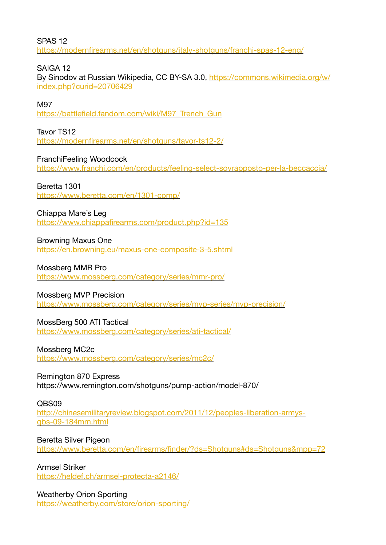SPAS 12 <https://modernfirearms.net/en/shotguns/italy-shotguns/franchi-spas-12-eng/>

SAIGA 12

By Sinodov at Russian Wikipedia, CC BY-SA 3.0, [https://commons.wikimedia.org/w/](https://commons.wikimedia.org/w/index.php?curid=20706429) [index.php?curid=20706429](https://commons.wikimedia.org/w/index.php?curid=20706429)

M97

[https://battlefield.fandom.com/wiki/M97\\_Trench\\_Gun](https://battlefield.fandom.com/wiki/M97_Trench_Gun)

Tavor TS12 <https://modernfirearms.net/en/shotguns/tavor-ts12-2/>

FranchiFeeling Woodcock <https://www.franchi.com/en/products/feeling-select-sovrapposto-per-la-beccaccia/>

Beretta 1301

<https://www.beretta.com/en/1301-comp/>

Chiappa Mare's Leg

<https://www.chiappafirearms.com/product.php?id=135>

Browning Maxus One <https://en.browning.eu/maxus-one-composite-3-5.shtml>

Mossberg MMR Pro <https://www.mossberg.com/category/series/mmr-pro/>

Mossberg MVP Precision <https://www.mossberg.com/category/series/mvp-series/mvp-precision/>

MossBerg 500 ATI Tactical <https://www.mossberg.com/category/series/ati-tactical/>

Mossberg MC2c <https://www.mossberg.com/category/series/mc2c/>

Remington 870 Express https://www.remington.com/shotguns/pump-action/model-870/

QBS09 [http://chinesemilitaryreview.blogspot.com/2011/12/peoples-liberation-armys](http://chinesemilitaryreview.blogspot.com/2011/12/peoples-liberation-armys-qbs-09-184mm.html)[qbs-09-184mm.html](http://chinesemilitaryreview.blogspot.com/2011/12/peoples-liberation-armys-qbs-09-184mm.html)

Beretta Silver Pigeon <https://www.beretta.com/en/firearms/finder/?ds=Shotguns#ds=Shotguns&mpp=72>

Armsel Striker <https://heldef.ch/armsel-protecta-a2146/>

Weatherby Orion Sporting <https://weatherby.com/store/orion-sporting/>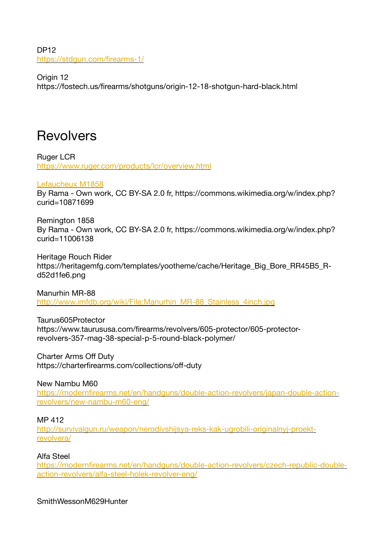DP12 <https://stdgun.com/firearms-1/>

Origin 12 https://fostech.us/firearms/shotguns/origin-12-18-shotgun-hard-black.html

# **Revolvers**

Ruger LCR <https://www.ruger.com/products/lcr/overview.html>

#### [Lefaucheux M1858](https://en.wikipedia.org/wiki/Lefaucheux_M1858)

By Rama - Own work, CC BY-SA 2.0 fr, https://commons.wikimedia.org/w/index.php? curid=10871699

Remington 1858 By Rama - Own work, CC BY-SA 2.0 fr, https://commons.wikimedia.org/w/index.php? curid=11006138

Heritage Rouch Rider https://heritagemfg.com/templates/yootheme/cache/Heritage\_Big\_Bore\_RR45B5\_Rd52d1fe6.png

Manurhin MR-88 [http://www.imfdb.org/wiki/File:Manurhin\\_MR-88\\_Stainless\\_4inch.jpg](http://www.imfdb.org/wiki/File:Manurhin_MR-88_Stainless_4inch.jpg)

Taurus605Protector https://www.taurususa.com/firearms/revolvers/605-protector/605-protectorrevolvers-357-mag-38-special-p-5-round-black-polymer/

Charter Arms Off Duty https://charterfirearms.com/collections/off-duty

New Nambu M60 [https://modernfirearms.net/en/handguns/double-action-revolvers/japan-double-action](https://modernfirearms.net/en/handguns/double-action-revolvers/japan-double-action-revolvers/new-nambu-m60-eng/)[revolvers/new-nambu-m60-eng/](https://modernfirearms.net/en/handguns/double-action-revolvers/japan-double-action-revolvers/new-nambu-m60-eng/)

#### MP 412

[http://survivalgun.ru/weapon/nerodivshijsya-reks-kak-ugrobili-originalnyj-proekt](http://survivalgun.ru/weapon/nerodivshijsya-reks-kak-ugrobili-originalnyj-proekt-revolvera/)[revolvera/](http://survivalgun.ru/weapon/nerodivshijsya-reks-kak-ugrobili-originalnyj-proekt-revolvera/)

#### Alfa Steel

[https://modernfirearms.net/en/handguns/double-action-revolvers/czech-republic-double](https://modernfirearms.net/en/handguns/double-action-revolvers/czech-republic-double-action-revolvers/alfa-steel-holek-revolver-eng/)[action-revolvers/alfa-steel-holek-revolver-eng/](https://modernfirearms.net/en/handguns/double-action-revolvers/czech-republic-double-action-revolvers/alfa-steel-holek-revolver-eng/)

SmithWessonM629Hunter